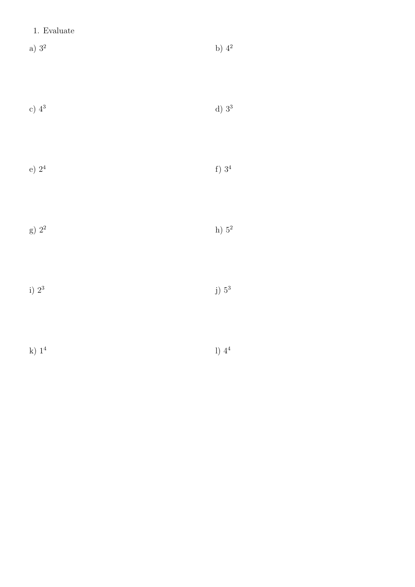## 1. Evaluate

- a)  $3^2$  b)  $4^2$
- c)  $4^3$  d)  $3^3$
- 
- e) 2<sup>4</sup> f) 3<sup>4</sup>
- g)  $2^2$  h)  $5^2$
- i) 2<sup>3</sup> j) 5<sup>3</sup>
- k) 1<sup>4</sup>
	- l) 4<sup>4</sup>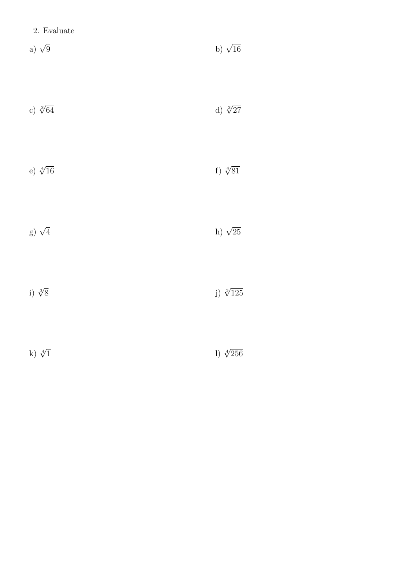|  | 2. Evaluate |
|--|-------------|
|--|-------------|

- a)  $\sqrt{9}$  $\overline{9}$  b)  $\sqrt{ }$ b)  $\sqrt{16}$
- c)  $\sqrt[3]{64}$  $\overline{64}$  d)  $\sqrt[3]{}$ d)  $\sqrt[3]{27}$
- e)  $\sqrt[4]{16}$  $\overline{16}$  f)  $\sqrt[4]{}$ f)  $\sqrt[4]{81}$
- g)  $\sqrt{4}$  $\overline{4}$  h)  $\sqrt{ }$ h)  $\sqrt{25}$
- i)  $\sqrt[3]{8}$  $\overline{8}$  j)  $\sqrt[3]{ }$ j)  $\sqrt[3]{125}$
- k)  $\sqrt[4]{1}$  $\overline{1}$  l)  $\sqrt[4]{}$ l)  $\sqrt[4]{256}$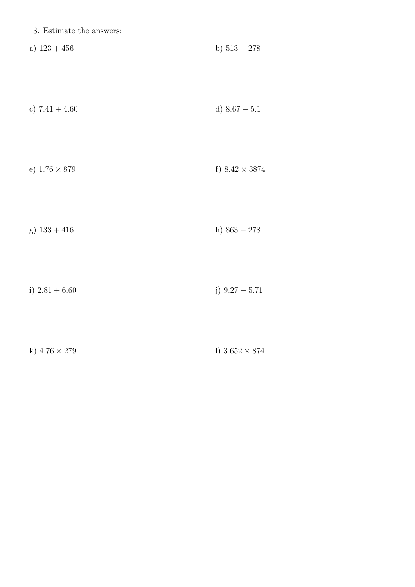| c) $7.41 + 4.60$ | d) $8.67 - 5.1$ |
|------------------|-----------------|
|------------------|-----------------|

| e) $1.76 \times 879$ | f) $8.42 \times 3874$ |
|----------------------|-----------------------|
|----------------------|-----------------------|

h)  $863 - 278$ g)  $133 + 416$ 

j)  $9.27 - 5.71$ i)  $2.81+6.60\,$ 

| k) $4.76 \times 279$ | 1) $3.652 \times 874$ |
|----------------------|-----------------------|
|----------------------|-----------------------|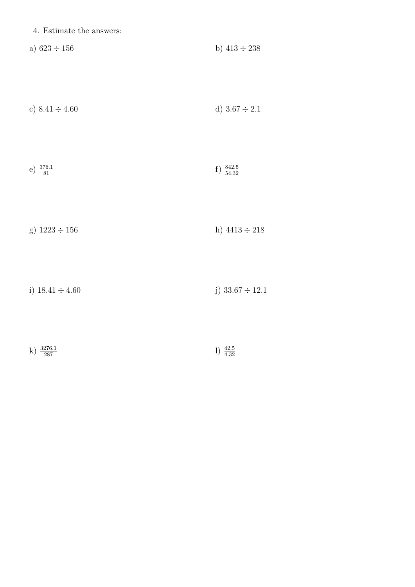| 4. Estimate the answers: |  |
|--------------------------|--|
|--------------------------|--|

| a) $623 \div 156$ |  | b) $413 \div 238$ |  |  |  |  |  |
|-------------------|--|-------------------|--|--|--|--|--|
|-------------------|--|-------------------|--|--|--|--|--|

| c) $8.41 \div 4.60$ | d) $3.67 \div 2.1$ |
|---------------------|--------------------|
|---------------------|--------------------|

| e) $\frac{376.1}{81}$<br>f) $\frac{842.5}{54.32}$ |  |
|---------------------------------------------------|--|
|---------------------------------------------------|--|

| g) $1223 \div 156$ | h) $4413 \div 218$ |
|--------------------|--------------------|
|--------------------|--------------------|

i)  $18.41 \div 4.60$  j)  $33.67 \div 12.1$ 

| k) $\frac{3276.1}{287}$ |  | $1) \frac{42.5}{4.32}$ |
|-------------------------|--|------------------------|
|-------------------------|--|------------------------|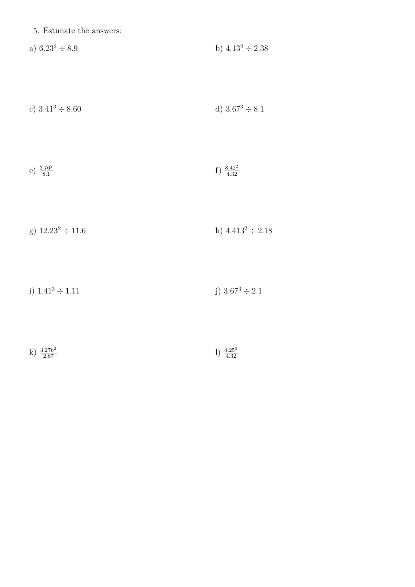|  | 5. Estimate the answers: |  |  |
|--|--------------------------|--|--|
|--|--------------------------|--|--|

| a) $6.23^2 \div 8.9$ | b) $4.13^2 \div 2.38$ |  |
|----------------------|-----------------------|--|
|----------------------|-----------------------|--|

| c) $3.41^3 \div 8.60$ | d) $3.67^3 \div 8.1$ |
|-----------------------|----------------------|
|-----------------------|----------------------|

| e) $\frac{3.76^2}{8.1}$ | f) $\frac{8.42^2}{4.32}$ |
|-------------------------|--------------------------|
|-------------------------|--------------------------|

| g) $12.23^2 \div 11.6$ | h) $4.413^2 \div 2.18$ |
|------------------------|------------------------|
|------------------------|------------------------|

| i) $1.41^3 \div 1.11$ | j) $3.67^3 \div 2.1$ |
|-----------------------|----------------------|
|-----------------------|----------------------|

| 1) $\frac{4.25^3}{4.32}$<br>k) $\frac{3.276^2}{2.87}$<br>$\overline{2.87}$ |
|----------------------------------------------------------------------------|
|----------------------------------------------------------------------------|